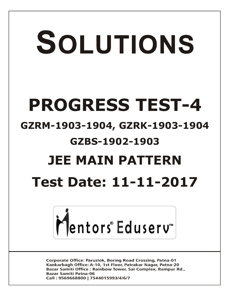# SOLUTIONS **PROGRESS TEST-4 GZRM-1903-1904, GZRK-1903-1904 GZBS-1902-1903 JEE MAIN PATTERN Test Date: 11-11-2017**



**Corporate Office: Paruslok, Boring Road Crossing, Patna-01** Kankarbagh Office: A-10, 1st Floor, Patrakar Nagar, Patna-20 Bazar Samiti Office: Rainbow Tower, Sai Complex, Rampur Rd., **Bazar Samiti Patna-06** Call: 9569668800 | 7544015993/4/6/7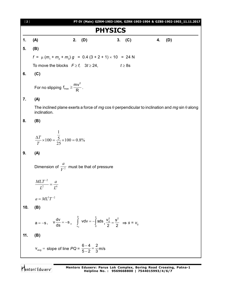| $[2]$ | PT-IV (Main) GZRM-1903-1904, GZRK-1903-1904 & GZBS-1902-1903_11.11.2017                                                                      |
|-------|----------------------------------------------------------------------------------------------------------------------------------------------|
|       | <b>PHYSICS</b>                                                                                                                               |
| 1.    | 2.<br>(D)<br>(C)<br>(A)<br>(D)<br>4.<br>3.                                                                                                   |
| 5.    | (B)                                                                                                                                          |
|       | $f = \mu (m_1 + m_2 + m_3) g = 0.4 (3 + 2 + 1) \times 10 = 24 N$                                                                             |
|       | To move the blocks $F \ge f$ , $3t \ge 24$ ,<br>$t \geq 8$ s                                                                                 |
| 6.    | (C)                                                                                                                                          |
|       | For no slipping $f_{max} \geq \frac{mv^2}{R}$ .                                                                                              |
| 7.    | (A)                                                                                                                                          |
|       | The inclined plane exerts a force of mg cos $\theta$ perpendicular to inclination and mg sin $\theta$ along<br>inclination.                  |
| 8.    | (B)                                                                                                                                          |
| 9.    | $\frac{\Delta T}{T} \times 100 = \frac{\frac{1}{5}}{25} \times 100 = 0.8\%$<br>(A)                                                           |
|       |                                                                                                                                              |
|       | Dimension of $\frac{a}{V^2}$ must be that of pressure                                                                                        |
|       | $\frac{MLT^{-2}}{L^2} = \frac{a}{L^6}$                                                                                                       |
|       | $a = ML^{5}T^{-2}$                                                                                                                           |
| 10.   | (B)                                                                                                                                          |
|       | $a = -s$ , $v \frac{dv}{ds} = -s$ , $\int_{v_0}^{v_0} v dv = -\int_{0}^{s} s ds$ , $\frac{v_0^2}{2} = \frac{s^2}{2}$ $\Rightarrow$ $s = v_0$ |
| 11.   | (B)                                                                                                                                          |
|       | $V_{avg}$ = slope of line $PQ = \frac{6-4}{5-2} = \frac{2}{3}$ m/s                                                                           |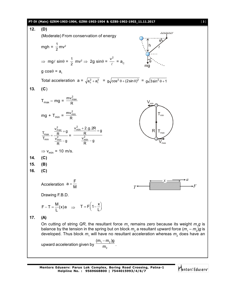### **PT-IV (Main) GZRM-1903-1904, GZRK-1903-1904 & GZBS-1902-1903\_11.11.2017** [ **3** ]



**Mentors Eduserv: Parus Lok Complex, Boring Road Crossing, Patna-1 Helpline No. : 9569668800 | 7544015993/4/6/7**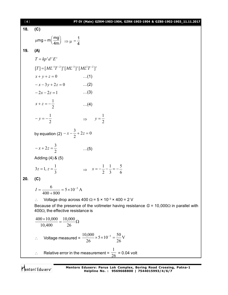| $[4]$ |                                                                       | PT-IV (Main) GZRM-1903-1904, GZRK-1903-1904 & GZBS-1902-1903_11.11.2017                        |
|-------|-----------------------------------------------------------------------|------------------------------------------------------------------------------------------------|
| 18.   | (C)                                                                   |                                                                                                |
|       | $\mu mg = m \left(\frac{mg}{4m}\right) \Rightarrow \mu = \frac{1}{4}$ |                                                                                                |
| 19.   | (A)                                                                   |                                                                                                |
|       | $T = kp^x d^y E^z$                                                    |                                                                                                |
|       | $[T] = [ML^{-1}T^{-2}]^x [ML^{-3}]^y [ML^2T^{-2}]^z$                  |                                                                                                |
|       | $x + y + z = 0$                                                       | $\dots(1)$                                                                                     |
|       | $-x-3y+2z=0$                                                          | $\dots(2)$                                                                                     |
|       | $-2x-2z=1$                                                            | $\dots(3)$                                                                                     |
|       | $x + z = -\frac{1}{2}$                                                | $\dots(4)$                                                                                     |
|       | $-y=-\frac{1}{2}$                                                     | $\Rightarrow y = \frac{1}{2}$                                                                  |
|       | by equation (2) $-x-\frac{3}{2}+2z=0$                                 |                                                                                                |
|       | $-x+2z=\frac{3}{2}$                                                   | (5)                                                                                            |
|       | Adding (4) & (5)                                                      |                                                                                                |
|       | $3z = 1, z = \frac{1}{3}$                                             | $\Rightarrow x = -\frac{1}{2} - \frac{1}{3} = -\frac{5}{6}$                                    |
| 20.   | (C)                                                                   |                                                                                                |
|       | $I = \frac{6}{100} = 5 \times 10^{-3}$ A<br>$400 + 800$               |                                                                                                |
|       |                                                                       | Voltage drop across 400 $\Omega$ = 5 × 10 <sup>-3</sup> × 400 = 2 V                            |
|       | 400 $\Omega$ , the effective resistance is                            | Because of the presence of the voltmeter having resistance $G = 10,000\Omega$ in parallel with |
|       | $\frac{400\times10,000}{10,400} = \frac{10,000}{26} \Omega$           |                                                                                                |
|       |                                                                       | Voltage measured = $\frac{10,000}{26} \times 5 \times 10^{-3} = \frac{50}{26}$ V               |
|       | $\ddot{\cdot}$                                                        | Relative error in the measurement = $\frac{1}{26}$ = 0.04 volt                                 |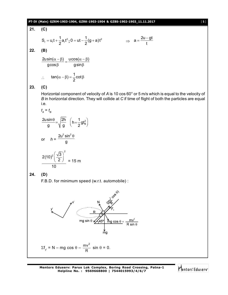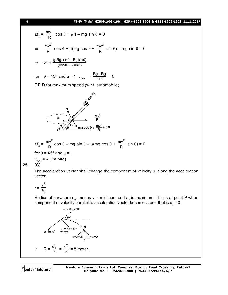## [ **6** ] **PT-IV (Main) GZRM-1903-1904, GZRK-1903-1904 & GZBS-1902-1903\_11.11.2017**

$$
\Sigma f_x = \frac{mv^2}{R} \cos \theta + \mu N - mg \sin \theta = 0
$$
  
\n
$$
\Rightarrow \frac{mv^2}{R} \cos \theta + \mu (mg \cos \theta + \frac{mv^2}{R} \sin \theta) - mg \sin \theta = 0
$$
  
\n
$$
\Rightarrow v^2 = \frac{(\mu Rg \cos \theta - Rg \sin \theta)}{(\cos \theta + \mu \sin \theta)}
$$
  
\nfor  $\theta = 45^\circ$  and  $\mu = 1$  :  $v_{min} = \frac{Rg - Rg}{1 + 1} = 0$   
\nF.B.D for maximum speed (w.r.t. automobile)  
\n $\cos \theta$   
\n $\Rightarrow \cos^2 \theta$   
\n $\Rightarrow \cos^2 \theta$   
\n $\Rightarrow \cos^2 \theta$   
\n $\Rightarrow \cos^2 \theta$   
\n $\Rightarrow \cos^2 \theta$   
\n $\Rightarrow \cos^2 \theta$   
\n $\Rightarrow R$   
\n $\Rightarrow R$   
\n $\Rightarrow R$   
\n $\Rightarrow R$   
\n $\Rightarrow R$   
\n $\Rightarrow R$   
\n $\Rightarrow R$   
\n $\Rightarrow R$   
\n $\Rightarrow R$   
\n $\Rightarrow R$   
\n $\Rightarrow R$   
\n $\Rightarrow R$   
\n $\Rightarrow R$   
\n $\Rightarrow R$   
\n $\Rightarrow R$   
\n $\Rightarrow R$   
\n $\Rightarrow R$   
\n $\Rightarrow R$   
\n $\Rightarrow R$   
\n $\Rightarrow R$   
\n $\Rightarrow R$   
\n $\Rightarrow R$   
\n $\Rightarrow R$   
\n $\Rightarrow R$   
\n $\Rightarrow R$   
\n $\Rightarrow R$   
\n $\Rightarrow R$   
\n $\Rightarrow R$   
\n $\Rightarrow R$   
\n $\Rightarrow R$   
\n $\Rightarrow R$   
\n $\Rightarrow R$   
\n $\Rightarrow R$   
\n $\Rightarrow R$   
\n $\Rightarrow R$   
\n $\Rightarrow R$   
\n $\Rightarrow R$   
\n $\Rightarrow R$   
\n $\Rightarrow R$   
\n $\Rightarrow R$ 

$$
r = \frac{v^2}{a_n}
$$

Radius of curvature r<sub>min</sub> means v is minimum and  $\mathsf{a}_{_\mathsf{n}}$  is maximum. This is at point P when component of velocity parallel to acceleration vector becomes zero, that is  $\mathsf{u}_{_\parallel}$  = 0.

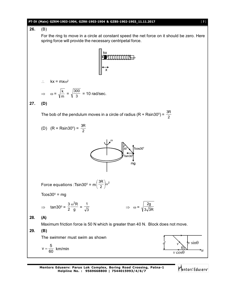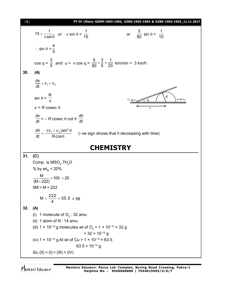| [8] | PT-IV (Main) GZRM-1903-1904, GZRK-1903-1904 & GZBS-1902-1903_11.11.2017                                                     |
|-----|-----------------------------------------------------------------------------------------------------------------------------|
|     | $15 = \frac{1}{v \sin \theta}$ or $v \sin \theta = \frac{1}{15}$<br>or $\frac{5}{60}$ sin $\theta = \frac{1}{15}$           |
|     | $\therefore$ sin $\theta = \frac{4}{5}$                                                                                     |
|     | cos q = $\frac{3}{5}$ and <i>u</i> = <i>v</i> cos q = $\frac{5}{60} \times \frac{3}{5} = \frac{1}{20}$ km/min = 3 km/h      |
| 30. | (A)                                                                                                                         |
|     | $\frac{dx}{dt} = v_1 + v_2$                                                                                                 |
|     | $\sin \theta = \frac{R}{x}$<br>R                                                                                            |
|     | $x = R \csc \theta$<br>$\overline{x}$                                                                                       |
|     | $\frac{dx}{dt}$ = – R cosec $\theta$ cot $\theta \frac{d\theta}{dt}$                                                        |
|     | $\frac{d\theta}{dt} = \frac{-(v_1 + v_2)\sin^2{\theta}}{R\cos{\theta}}$ (-ve sign shows that $\theta$ decreasing with time) |
|     | <b>CHEMISTRY</b>                                                                                                            |
| 31. | (C)                                                                                                                         |
|     | Comp. is $MSO4$ .7H <sub>2</sub> O                                                                                          |
|     | % by $wt_{M} = 20\%$                                                                                                        |
|     | $\frac{M}{(M+222)} \times 100 = 20$                                                                                         |
|     | $5M = M + 222$                                                                                                              |
|     | $M = \frac{222}{4} = 55.5 = 56$                                                                                             |
| 32. | (A)                                                                                                                         |
|     | 1 molecule of $O2$ : 32 amu<br>(i)                                                                                          |
|     | (ii) 1 atom of $N: 14$ amu                                                                                                  |
|     | (iii) 1 × 10 <sup>-10</sup> g molecules wt of O <sub>2</sub> = 1 × 10 <sup>-10</sup> × 32 g                                 |
|     | $=$ 32 $\times$ 10 <sup>-10</sup> g<br>(iv) $1 \times 10^{-10}$ g At wt of Cu = $1 \times 10^{-10} \times 63.5$             |
|     | 63.5 $\times$ 10 <sup>-10</sup> g                                                                                           |
|     | So, (II) < (I) < (III) < (IV)                                                                                               |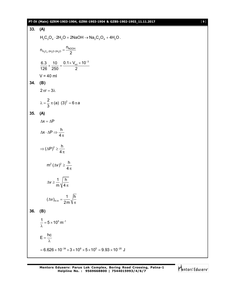## **PT-IV (Main) GZRM-1903-1904, GZRK-1903-1904 & GZBS-1902-1903\_11.11.2017** [ **9** ]

33. (A)  
\nH<sub>2</sub>C<sub>2</sub>O<sub>4</sub> · 2H<sub>2</sub>O + 2NaOH 
$$
\rightarrow
$$
 Na<sub>2</sub>C<sub>2</sub>O<sub>4</sub> + 4H<sub>2</sub>O.  
\n $n_{H_2C_2}a_{H_2O,2H_2O} = \frac{n_{NOOH}}{2}$   
\n $\frac{6.3}{126} \times \frac{10}{250} = \frac{0.1 \times V_{mix} \times 10^{-3}}{2}$   
\nV = 40 ml  
\n34. (B)  
\n $2\pi r = 3\lambda$   
\n $\lambda = \frac{2}{3}\pi (a) (3)^2 = 6\pi a$   
\n35. (A)  
\n $\Delta x = \Delta P$   
\n $\Delta x \cdot \Delta P \Rightarrow \frac{h}{4\pi}$   
\n $\Rightarrow (\Delta P)^2 \ge \frac{h}{4\pi}$   
\n $m^2 (\Delta v)^2 \ge \frac{h}{4\pi}$   
\n $\Delta v \ge \frac{1}{m} \sqrt{\frac{h}{4\pi}}$   
\n $\Delta v \ge \frac{1}{m} \sqrt{\frac{h}{4\pi}}$   
\n36. (B)  
\n $\frac{1}{\lambda} = 5 \times 10^5 \text{ m}^{-1}$   
\n $E = \frac{hc}{\lambda}$   
\n= 6.626 × 10<sup>-34</sup> × 3 × 10<sup>8</sup> × 5 × 10<sup>5</sup> = 9.93 × 10<sup>-20</sup> J

Mentors<sup>e</sup> Eduserv<sup>-</sup>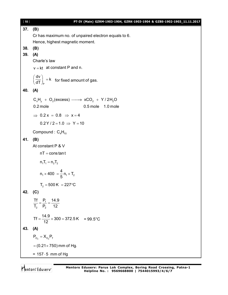| $[10]$ | PT-IV (Main) GZRM-1903-1904, GZRK-1903-1904 & GZBS-1902-1903_11.11.2017            |
|--------|------------------------------------------------------------------------------------|
| 37.    | (B)                                                                                |
|        | Cr has maximum no. of unpaired electron equals to 6.                               |
|        | Hence, highest magnetic moment.                                                    |
| 38.    | (B)                                                                                |
| 39.    | (A)                                                                                |
|        | Charle's law                                                                       |
|        | $v = kt$ at constant P and n.                                                      |
|        | $\left(\frac{dv}{dT}\right)_P = k$ for fixed amount of gas.                        |
| 40.    | (A)                                                                                |
|        | $C_xH_y + O_2$ (excess) $\longrightarrow$ xCO <sub>2</sub> + Y / 2H <sub>2</sub> O |
|        | 0.2 mole<br>0.5 mole 1.0 mole                                                      |
|        | $\Rightarrow$ 0.2 x = 0.8 $\Rightarrow$ x = 4                                      |
|        | $0.2$ Y / 2 = 1.0 $\Rightarrow$ Y = 10                                             |
|        |                                                                                    |
|        | Compound: $C_4H_{10}$                                                              |
| 41.    | (B)                                                                                |
|        | At constant P & V                                                                  |
|        | $nT = constant$                                                                    |
|        | $n_1T_1 = n_2T_2$                                                                  |
|        | $n_1 \times 400 = \frac{4}{5} n_1 \times T_2$                                      |
|        | $T_2 = 500 \text{ K} = 227 \text{ }^{\circ}\text{C}$                               |
| 42.    | (C)                                                                                |
|        |                                                                                    |
|        | $\frac{Tf}{T_2} = \frac{P_f}{P_2} = \frac{14.9}{12}$                               |
|        | Tf = $\frac{14.9}{12}$ × 300 = 372.5 K = 99.5°C                                    |
| 43.    | (A)                                                                                |
|        | $P_{O_2} = X_{O_2}P_T$                                                             |
|        | $= (0.21 \times 750)$ mm of Hg.                                                    |
|        | $= 157.5$ mm of Hg                                                                 |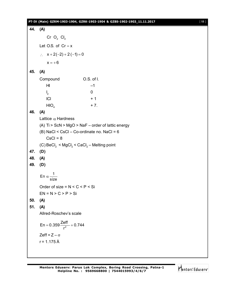## **PT-IV (Main) GZRM-1903-1904, GZRK-1903-1904 & GZBS-1902-1903\_11.11.2017** [ **11** ]

**44. (A)** Cr  $O_2$  Cl<sub>2</sub> Let O.S. of  $Cr = x$  $\therefore$   $x + 2(-2) + 2(-1) = 0$  $x = +6$ **45. (A)** Compound O.S. of I. HI –1  $\mathsf{I}_2$ 0  $\overline{1}$  ICl  $+1$  $HIO<sub>A</sub>$ + 7. **46. (A)** Lattice  $\alpha$  Hardness (A) Ti > ScN > MgO > NaF – order of lattic energy  $(B)$  NaCl < CsCl – Co-ordinate no. NaCl = 6  $CsCl = 8$ (C)  $\mathsf{BeCl}_2$  <  $\mathsf{MgCl}_2$  <  $\mathsf{CaCl}_2$  – Melting point **47. (D) 48. (A) 49. (D)** En  $\alpha - \frac{1}{2}$ size  $\alpha$ Order of size =  $N < C < P < S$ i  $EN = N > C > P > Si$ **50. (A) 51. (A)** Allred-Roschev's scale En = 0.359 $\frac{2eff}{r^2}$  + 0.744 r  $= 0.359 \frac{2011}{2} + 0$ Zeff =  $Z - \sigma$  $r = 1.175 \text{ Å}$ 

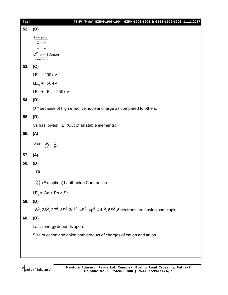| $[12]$ | PT-IV (Main) GZRM-1903-1904, GZRK-1903-1904 & GZBS-1902-1903_11.11.2017                                                           |
|--------|-----------------------------------------------------------------------------------------------------------------------------------|
| 52.    | (D)                                                                                                                               |
|        | Same period<br>$\overline{O > F}$                                                                                                 |
|        | $\wedge$ $\wedge$                                                                                                                 |
|        | $O^{2-} > F^{-}$ } Anion<br>Isoelectronic                                                                                         |
| 53.    | (C)                                                                                                                               |
|        | $I.E._1 = 100 eV$                                                                                                                 |
|        | I.E. <sub>2</sub> = 150 eV                                                                                                        |
|        | $LE_{-1} + LE_{-2} = 250$ eV                                                                                                      |
| 54.    | (D)                                                                                                                               |
|        | $O2+$ because of high effective nuclear charge as compared to others.                                                             |
| 55.    | (D)                                                                                                                               |
|        | Cs has lowest I.E. (Out of all stable elements).                                                                                  |
| 56.    | (A)                                                                                                                               |
|        | Size = $S_c > Z_n$<br>3d <sup>1</sup> 3d <sup>1</sup>                                                                             |
| 57.    | (A)                                                                                                                               |
| 58.    | (D)                                                                                                                               |
|        | Ge                                                                                                                                |
|        | $\binom{Sn}{Pb}$ (Exception) Lanthanide Contraction                                                                               |
|        | $LE_1 = Ge > Pb > Sn$                                                                                                             |
| 59.    | (D)                                                                                                                               |
|        | $1S^2$ , $2S^2$ , $2P^6$ , $3S^2$ <sub>,</sub> $3d^{10}$ , $4S^2$ , $4p^6$ , $4d^{10}$ , $5S^2$ , 5electrons are having same spin |
| 60.    | (D)                                                                                                                               |
|        | Lattic energy depends upon.                                                                                                       |
|        | Size of cation and anion both product of charges of cation and anion.                                                             |
|        |                                                                                                                                   |
|        |                                                                                                                                   |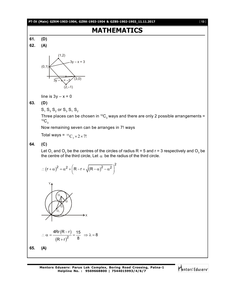## **PT-IV (Main) GZRM-1903-1904, GZRK-1903-1904 & GZBS-1902-1903\_11.11.2017** [ **13** ]

# **MATHEMATICS**

**61. (D) 62. (A)**



line is  $3y - x = 0$ 

## **63. (D)**

 $\mathsf{S}_\mathtt{1}\,\mathsf{S}_\mathtt{3}\,\mathsf{S}_\mathtt{2}$  or  $\mathsf{S}_\mathtt{3}\,\mathsf{S}_\mathtt{1}\,\mathsf{S}_\mathtt{2}$ 

Three places can be chosen in  ${}^{10}\mathrm{C}_3$  ways and there are only 2 possible arrangements =  ${}^{10}C_3$ 

Now remaining seven can be arranges in 7! ways

Total ways = 
$$
{}^{10}C_3 \times 2 \times 7!
$$

**64. (C)**

Let O<sub>1</sub> and O<sub>2</sub> be the centres of the circles of radius R = 5 and r = 3 respectively and O<sub>3</sub> be the centre of the third circle, Let  $\alpha$  be the radius of the third circle.

$$
\therefore \left(r+\alpha\right)^2 = \alpha^2 + \left(R-r+\sqrt{\left(R-\alpha\right)^2-\alpha^2}\,\right)^2
$$

$$
\therefore \alpha = \frac{4 \text{Rr} (\text{R} - \text{r})}{(\text{R} + \text{r})^2} = \frac{15}{8} \Rightarrow \lambda = 8
$$

**65. (A)**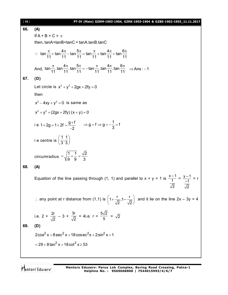| $[14]$ | PT-IV (Main) GZRM-1903-1904, GZRK-1903-1904 & GZBS-1902-1903_11.11.2017                                                                                           |
|--------|-------------------------------------------------------------------------------------------------------------------------------------------------------------------|
| 66.    | (A)                                                                                                                                                               |
|        | If $A + B + C = \pi$                                                                                                                                              |
|        | then, $tanA + tanB + tanC = tanA$ . $tanB$ . $tanC$                                                                                                               |
|        | $\therefore$ tan $\frac{\pi}{11}$ + tan $\frac{4\pi}{11}$ - tan $\frac{5\pi}{11}$ = tan $\frac{\pi}{11}$ + tan $\frac{4\pi}{11}$ + tan $\frac{6\pi}{11}$          |
|        | And, $\tan \frac{\pi}{11}$ tan $\frac{4\pi}{11}$ tan $\frac{5\pi}{11}$ = -tan $\frac{\pi}{11}$ tan $\frac{4\pi}{11}$ tan $\frac{6\pi}{11}$ $\Rightarrow$ Ans : -1 |
| 67.    | (D)                                                                                                                                                               |
|        | Let circle is $x^2 + y^2 + 2gx + 2fy = 0$                                                                                                                         |
|        | then                                                                                                                                                              |
|        | $x^2 - 4xy + y^2 = 0$ is same as                                                                                                                                  |
|        | $x^{2} + y^{2} + (2qx + 2fy)(x + y) = 0$                                                                                                                          |
|        | i e 1+2g = 1+2f = $\frac{g+f}{2}$ $\Rightarrow$ g = f $\Rightarrow$ g = $-\frac{1}{3}$ = f                                                                        |
|        | i e centre is $\left(\frac{1}{3},\frac{1}{3}\right)$                                                                                                              |
|        | circumradius = $\sqrt{\frac{1}{9} + \frac{1}{9}} = \frac{\sqrt{2}}{3}$                                                                                            |
| 68.    | (A)                                                                                                                                                               |
|        | Equation of the line passing through (1, 1) and parallel to $x + y = 1$ is $\frac{x-1}{1} = \frac{y-1}{-1} = r$<br>$\overline{\sqrt{2}}$ $\overline{\sqrt{2}}$    |
|        | ∴ any point at r distance from (1,1) is $\left(1+\frac{r}{\sqrt{2}},1-\frac{r}{\sqrt{2}}\right)$ and it lie on the line 2x – 3y = 4                               |
|        | i.e. 2 + $\frac{2r}{\sqrt{2}}$ – 3 + $\frac{3r}{\sqrt{2}}$ = 4i.e. r = $\frac{5\sqrt{2}}{5}$ = $\sqrt{2}$                                                         |
| 69.    | (D)                                                                                                                                                               |
|        | $2\cos^2 x + 8\sec^2 x + 18\cos \frac{e^2x}{2} + 2\sin^2 x + 1$                                                                                                   |
|        | $=$ 29 + 8 tan <sup>2</sup> x + 18 cot <sup>2</sup> x $\ge$ 53                                                                                                    |
|        |                                                                                                                                                                   |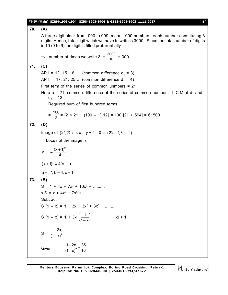## **PT-IV (Main) GZRM-1903-1904, GZRK-1903-1904 & GZBS-1902-1903\_11.11.2017** [ **15** ]

**70. (A)** A three digit block from 000 to 999 mean 1000 numbers, each number constituting 3 digits. Hence, total digit which we have to write is 3000 . Since the total number of digits is 10 (0 to 9) no digit is filled preferentially. ⇒ number of times we write  $3 = \frac{3000}{10} = 300$ . **71. (C)** AP I = 12, 15, 18, ... (common difference d<sub>1</sub> = 3) AP II = 17, 21, 25 ... (common difference  $d_2 = 4$ ) First term of the series of common unmbers = 21 Here a = 21, common difference of the series of common number = L.C.M of  $d_1$  and  $d_{2}$  = 12  $\therefore$  Required sum of first hundred terms  $=\frac{100}{2}$  $\frac{28}{2}$  = [2 × 21 + (100 – 1) 12] = 100 [21 + 594] = 61500 **72. (D)** Image of ( $\lambda^2$ , 2 $\lambda$ ) is x – y + 1= 0 is (2 $\lambda$  – 1, $\lambda^2$  + 1)  $\therefore$  Locus of the image is  $y - 1 = \frac{(x + 1)^2}{4}$ 4  $-1=\frac{(x+1)}{x-1}$  $(x+1)^2 = 4(y-1)$  $a = -1$ ; b = 4, c = 1 **73. (B)**  $S = 1 + 4x + 7x^2 + 10x^3 + \dots$  $x.S = x + 4x^2 + 7x^3 + \dots$ **Subtract**  $S(1-x) = 1 + 3x + 3x^2 + 3x^3 + \dots$ S (1 – x) = 1 + 3x  $\left(\frac{1}{1-x}\right)$  $1-x$  $|x| < 1$  $S =$  $^{+}$ 2  $1 + 2x$  $(1 - x)$ **Given**  $\frac{1+2x}{(1-x)^2} = \frac{35}{16}$  $(1-x)^2$  16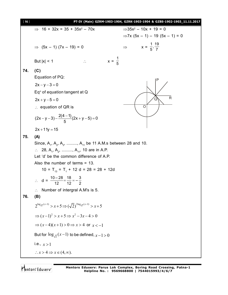[ **16** ] **PT-IV (Main) GZRM-1903-1904, GZRK-1903-1904 & GZBS-1902-1903\_11.11.2017**  $\Rightarrow$  16 + 32x = 35 + 35x<sup>2</sup> – 70x  $\Rightarrow$  35x<sup>2</sup>  $\Rightarrow 35x^2 - 10x + 19 = 0$  $\Rightarrow$ 7x (5x – 1) – 19 (5x – 1) = 0  $\Rightarrow$  (5x – 1) (7x – 19) = 0  $\frac{1}{5}, \frac{19}{7}$ But  $|x| < 1$   $\therefore$   $x = \frac{1}{5}$ 5 **74. (C)** Equation of PQ:  $2x - y - 3 = 0$  $Q \setminus R$  $\overline{\Omega}$ P Eq $\scriptstyle\rm o$  of equation tangent at Q  $2x + y - 5 = 0$  $\therefore$  equation of QR is  $(2x - y - 3) - \frac{2(4 - 1)}{5}(2x + y - 5) = 0$ 5  $(y-3)-\frac{2(4-1)}{5}(2x+y-5)=0$  $2x + 11y = 15$ **75. (A)** Since,  $\mathsf{A}_{1}$ ,  $\mathsf{A}_{2}$ ,  $\mathsf{A}_{3}$ , .........,  $\mathsf{A}_{11}$  be 11 A.M.s between 28 and 10.  $\therefore$  28, A<sub>1</sub>, A<sub>2</sub>, ........., A<sub>11</sub>, 10 are in A.P. Let 'd' be the common difference of A.P. Also the number of terms = 13. 10 =  $T_{13}$  =  $T_1$  + 12 d = 28 = 28 + 12d  $\therefore$  d =  $\frac{10-28}{12} = \frac{18}{12} = -\frac{3}{2}$ 12 12 2  $\therefore$  Number of intergral A.M's is 5. **76. (B)**  $2^{\log_{\sqrt{2}}(x-1)} > x+5 \Longrightarrow (\sqrt{2})^{2\log_{\sqrt{2}}(x-1)} > x+5$  $\Rightarrow (x-1)^2 > x+5 \Rightarrow x^2-3x-4 > 0$  $\Rightarrow$   $(x-4)(x+1) > 0 \Rightarrow x > 4$  or  $x < -1$ But for  $\log_{\sqrt{2}}(x-1)$  to be defined,  $x\!-\!1\!>\!0$  $i.e.,  $x > 1$$  $\therefore$   $x > 4 \Rightarrow x \in (4, \infty)$ .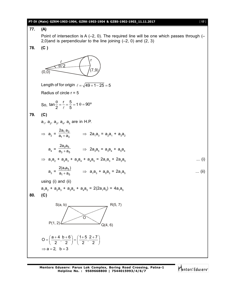## **PT-IV (Main) GZRM-1903-1904, GZRK-1903-1904 & GZBS-1902-1903\_11.11.2017** [ **17** ]

77. (A)  
\nPoint of intersection is A (-2, 0). The required line will be one which passes through (-2, 0) and (2, 3)  
\n78. (C)  
\n79. (C)  
\nLength of for origin (
$$
\epsilon = \sqrt{49 + 1 - 25} = 5
$$
  
\nRadius of circle  $r = 5$   
\nSo,  $\tan \frac{\theta}{2} = \frac{r}{\epsilon} = \frac{5}{5} = 1 + \frac{9}{20}$   
\n79. (C)  
\na<sub>1</sub>, a<sub>2</sub>, a<sub>3</sub>, a<sub>4</sub>, a<sub>5</sub> are in H.P.  
\n⇒ a<sub>2</sub> =  $\frac{2a_1a_3}{a_1 + a_3}$  ⇒ 2a<sub>1</sub>a<sub>3</sub> = a<sub>2</sub>a<sub>1</sub> + a<sub>3</sub>a<sub>2</sub>  
\na<sub>4</sub> =  $\frac{2a_3a_5}{a_3 + a_6}$  ⇒ 2a<sub>1</sub>a<sub>3</sub> = a<sub>2</sub>a<sub>1</sub> + a<sub>3</sub>a<sub>2</sub>  
\na<sub>4</sub> =  $\frac{2a_3a_5}{a_3 + a_6}$  ⇒ 2a<sub>1</sub>a<sub>3</sub> + 2a<sub>3</sub>a<sub>5</sub>  
\na<sub>3</sub> =  $\frac{2(a_3a_5)}{a_1 + a_6}$  ⇒ a<sub>1</sub>a<sub>3</sub> + a<sub>3</sub>a<sub>3</sub> = 2a<sub>1</sub>a<sub>3</sub> + 2a<sub>3</sub>a<sub>5</sub>  
\n... (i)  
\nusing (i) and (ii)  
\na<sub>1</sub>a<sub>2</sub> + a<sub>2</sub>a<sub>3</sub> + a<sub>3</sub>a<sub>4</sub> + a<sub>4</sub>a<sub>5</sub> = 2(2a<sub>1</sub>a<sub>3</sub>) = 4a<sub>1</sub>a<sub>5</sub>  
\n80. (C)  
\nS(a, b)  
\n
$$
O = \left(\frac{a+4}{2}, \frac{b+6}{2}\right) = \left(\frac{1+5}{2}, \frac{2+7}{2}\right)
$$
\n⇒ a = 2, b = 3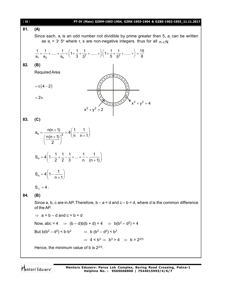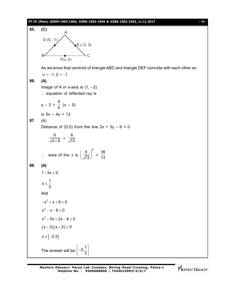## **PT-IV (Main) GZRM-1903-1904, GZRK-1903-1904 & GZBS-1902-1903\_11.11.2017** [ **19** ]



As we know that centroid of triangle ABC and triangle DEF coincide with each other so  $\alpha = -3$ ,  $\beta = -2$ 

**86. (A)**

Image of A in x-axis is  $(1, -2)$ 

 $\therefore$  equation of reflected ray is

$$
y - 3 = \frac{5}{4} (x - 5)
$$
  
is  $5x - 4y = 13$ 

**87.** (A)

Distance of  $(0,0)$  from the line  $2x + 3y - 6 = 0$ 

$$
\frac{6}{\sqrt{4+9}} = \frac{6}{\sqrt{13}}
$$

$$
\therefore \quad \text{area of the } \Delta \text{ is } \left(\frac{6}{\sqrt{13}}\right)^2 = \frac{36}{13}
$$

$$
88. (A)
$$

$$
1-3\,x\geq 0
$$

$$
x\leq \frac{1}{3}
$$

And  $-x^2 + x + 6 \ge 0$ 

$$
x^2-x-6\leq 0
$$

$$
x^2 - 3x + 2x - 6 \le 0
$$

$$
(x-3)(x+2) \leq 0
$$

$$
x \in [-2,3]
$$

The answer will be  $2,\frac{1}{2}$ 3  $\left[-2, \frac{1}{3}\right]$ 

Mentors<sup>®</sup> Eduserv<sup>®</sup>